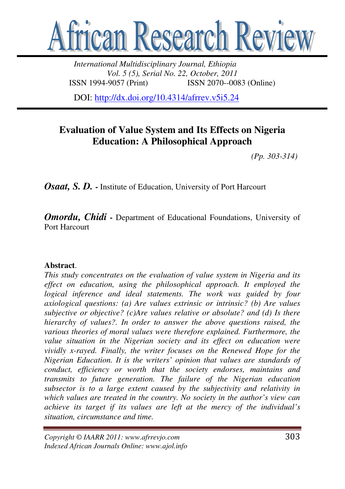

*International Multidisciplinary Journal, Ethiopia Vol. 5 (5), Serial No. 22, October, 2011*  ISSN 1994-9057 (Print) ISSN 2070--0083 (Online)

DOI: http://dx.doi.org/10.4314/afrrev.v5i5.24

# **Evaluation of Value System and Its Effects on Nigeria Education: A Philosophical Approach**

*(Pp. 303-314)* 

**Osaat, S. D. - Institute of Education, University of Port Harcourt** 

*Omordu, Chidi* - Department of Educational Foundations, University of Port Harcourt

#### **Abstract**.

*This study concentrates on the evaluation of value system in Nigeria and its effect on education, using the philosophical approach. It employed the logical inference and ideal statements. The work was guided by four axiological questions: (a) Are values extrinsic or intrinsic? (b) Are values subjective or objective? (c)Are values relative or absolute? and (d) Is there hierarchy of values?. In order to answer the above questions raised, the various theories of moral values were therefore explained. Furthermore, the value situation in the Nigerian society and its effect on education were vividly x-rayed. Finally, the writer focuses on the Renewed Hope for the Nigerian Education. It is the writers' opinion that values are standards of conduct, efficiency or worth that the society endorses, maintains and transmits to future generation. The failure of the Nigerian education subsector is to a large extent caused by the subjectivity and relativity in which values are treated in the country. No society in the author's view can achieve its target if its values are left at the mercy of the individual's situation, circumstance and time.*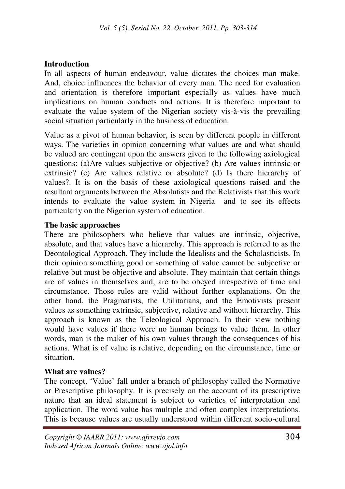#### **Introduction**

In all aspects of human endeavour, value dictates the choices man make. And, choice influences the behavior of every man. The need for evaluation and orientation is therefore important especially as values have much implications on human conducts and actions. It is therefore important to evaluate the value system of the Nigerian society vis-à-vis the prevailing social situation particularly in the business of education.

Value as a pivot of human behavior, is seen by different people in different ways. The varieties in opinion concerning what values are and what should be valued are contingent upon the answers given to the following axiological questions: (a)Are values subjective or objective? (b) Are values intrinsic or extrinsic? (c) Are values relative or absolute? (d) Is there hierarchy of values?. It is on the basis of these axiological questions raised and the resultant arguments between the Absolutists and the Relativists that this work intends to evaluate the value system in Nigeria and to see its effects particularly on the Nigerian system of education.

### **The basic approaches**

There are philosophers who believe that values are intrinsic, objective, absolute, and that values have a hierarchy. This approach is referred to as the Deontological Approach. They include the Idealists and the Scholasticists. In their opinion something good or something of value cannot be subjective or relative but must be objective and absolute. They maintain that certain things are of values in themselves and, are to be obeyed irrespective of time and circumstance. Those rules are valid without further explanations. On the other hand, the Pragmatists, the Utilitarians, and the Emotivists present values as something extrinsic, subjective, relative and without hierarchy. This approach is known as the Teleological Approach. In their view nothing would have values if there were no human beings to value them. In other words, man is the maker of his own values through the consequences of his actions. What is of value is relative, depending on the circumstance, time or situation.

#### **What are values?**

The concept, 'Value' fall under a branch of philosophy called the Normative or Prescriptive philosophy. It is precisely on the account of its prescriptive nature that an ideal statement is subject to varieties of interpretation and application. The word value has multiple and often complex interpretations. This is because values are usually understood within different socio-cultural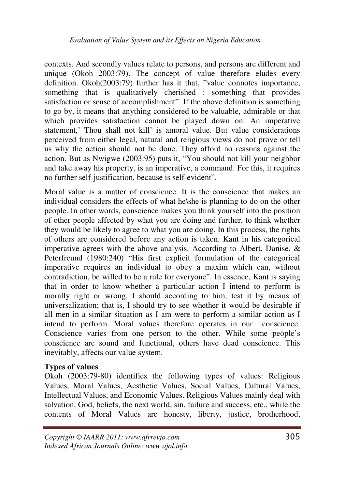contexts. And secondly values relate to persons, and persons are different and unique (Okoh 2003:79). The concept of value therefore eludes every definition. Okoh(2003:79) further has it that, "value connotes importance, something that is qualitatively cherished : something that provides satisfaction or sense of accomplishment" .If the above definition is something to go by, it means that anything considered to be valuable, admirable or that which provides satisfaction cannot be played down on. An imperative statement,' Thou shall not kill' is amoral value. But value considerations perceived from either legal, natural and religious views do not prove or tell us why the action should not be done. They afford no reasons against the action. But as Nwigwe (2003:95) puts it, "You should not kill your neighbor and take away his property, is an imperative, a command. For this, it requires no further self-justification, because is self-evident".

Moral value is a matter of conscience. It is the conscience that makes an individual considers the effects of what he\she is planning to do on the other people. In other words, conscience makes you think yourself into the position of other people affected by what you are doing and further, to think whether they would be likely to agree to what you are doing. In this process, the rights of others are considered before any action is taken. Kant in his categorical imperative agrees with the above analysis. According to Albert, Danise, & Peterfreund (1980:240) "His first explicit formulation of the categorical imperative requires an individual to obey a maxim which can, without contradiction, be willed to be a rule for everyone". In essence, Kant is saying that in order to know whether a particular action I intend to perform is morally right or wrong, I should according to him, test it by means of universalization; that is, I should try to see whether it would be desirable if all men in a similar situation as I am were to perform a similar action as I intend to perform. Moral values therefore operates in our conscience. Conscience varies from one person to the other. While some people's conscience are sound and functional, others have dead conscience. This inevitably, affects our value system.

# **Types of values**

Okoh (2003:79-80) identifies the following types of values: Religious Values, Moral Values, Aesthetic Values, Social Values, Cultural Values, Intellectual Values, and Economic Values. Religious Values mainly deal with salvation, God, beliefs, the next world, sin, failure and success, etc., while the contents of Moral Values are honesty, liberty, justice, brotherhood,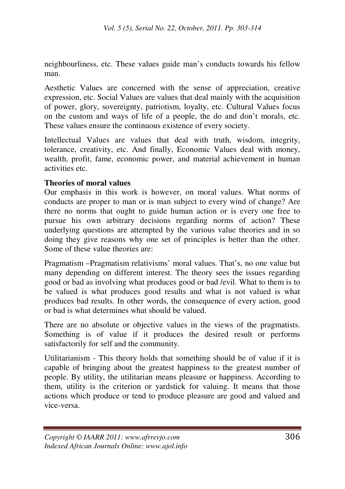neighbourliness, etc. These values guide man's conducts towards his fellow man.

Aesthetic Values are concerned with the sense of appreciation, creative expression, etc. Social Values are values that deal mainly with the acquisition of power, glory, sovereignty, patriotism, loyalty, etc. Cultural Values focus on the custom and ways of life of a people, the do and don't morals, etc. These values ensure the continuous existence of every society.

Intellectual Values are values that deal with truth, wisdom, integrity, tolerance, creativity, etc. And finally, Economic Values deal with money, wealth, profit, fame, economic power, and material achievement in human activities etc.

#### **Theories of moral values**

Our emphasis in this work is however, on moral values. What norms of conducts are proper to man or is man subject to every wind of change? Are there no norms that ought to guide human action or is every one free to pursue his own arbitrary decisions regarding norms of action? These underlying questions are attempted by the various value theories and in so doing they give reasons why one set of principles is better than the other. Some of these value theories are:

Pragmatism –Pragmatism relativisms' moral values. That's, no one value but many depending on different interest. The theory sees the issues regarding good or bad as involving what produces good or bad /evil. What to them is to be valued is what produces good results and what is not valued is what produces bad results. In other words, the consequence of every action, good or bad is what determines what should be valued.

There are no absolute or objective values in the views of the pragmatists. Something is of value if it produces the desired result or performs satisfactorily for self and the community.

Utilitarianism - This theory holds that something should be of value if it is capable of bringing about the greatest happiness to the greatest number of people. By utility, the utilitarian means pleasure or happiness. According to them, utility is the criterion or yardstick for valuing. It means that those actions which produce or tend to produce pleasure are good and valued and vice-versa.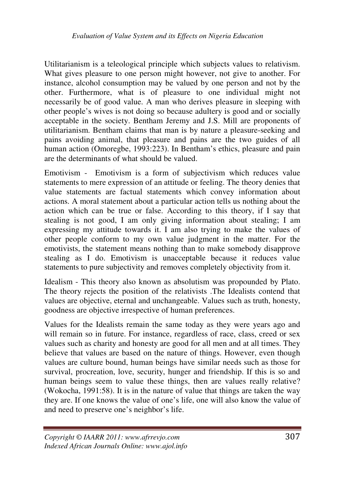Utilitarianism is a teleological principle which subjects values to relativism. What gives pleasure to one person might however, not give to another. For instance, alcohol consumption may be valued by one person and not by the other. Furthermore, what is of pleasure to one individual might not necessarily be of good value. A man who derives pleasure in sleeping with other people's wives is not doing so because adultery is good and or socially acceptable in the society. Bentham Jeremy and J.S. Mill are proponents of utilitarianism. Bentham claims that man is by nature a pleasure-seeking and pains avoiding animal, that pleasure and pains are the two guides of all human action (Omoregbe, 1993:223). In Bentham's ethics, pleasure and pain are the determinants of what should be valued.

Emotivism - Emotivism is a form of subjectivism which reduces value statements to mere expression of an attitude or feeling. The theory denies that value statements are factual statements which convey information about actions. A moral statement about a particular action tells us nothing about the action which can be true or false. According to this theory, if I say that stealing is not good, I am only giving information about stealing; I am expressing my attitude towards it. I am also trying to make the values of other people conform to my own value judgment in the matter. For the emotivists, the statement means nothing than to make somebody disapprove stealing as I do. Emotivism is unacceptable because it reduces value statements to pure subjectivity and removes completely objectivity from it.

Idealism - This theory also known as absolutism was propounded by Plato. The theory rejects the position of the relativists .The Idealists contend that values are objective, eternal and unchangeable. Values such as truth, honesty, goodness are objective irrespective of human preferences.

Values for the Idealists remain the same today as they were years ago and will remain so in future. For instance, regardless of race, class, creed or sex values such as charity and honesty are good for all men and at all times. They believe that values are based on the nature of things. However, even though values are culture bound, human beings have similar needs such as those for survival, procreation, love, security, hunger and friendship. If this is so and human beings seem to value these things, then are values really relative? (Wokocha, 1991:58). It is in the nature of value that things are taken the way they are. If one knows the value of one's life, one will also know the value of and need to preserve one's neighbor's life.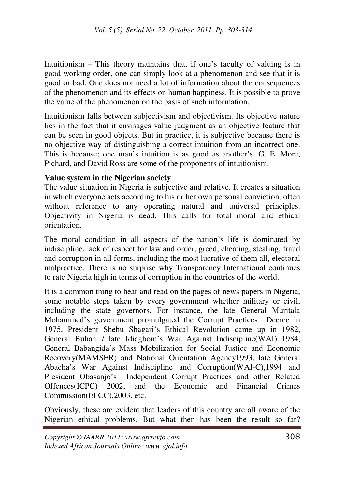Intuitionism – This theory maintains that, if one's faculty of valuing is in good working order, one can simply look at a phenomenon and see that it is good or bad. One does not need a lot of information about the consequences of the phenomenon and its effects on human happiness. It is possible to prove the value of the phenomenon on the basis of such information.

Intuitionism falls between subjectivism and objectivism. Its objective nature lies in the fact that it envisages value judgment as an objective feature that can be seen in good objects. But in practice, it is subjective because there is no objective way of distinguishing a correct intuition from an incorrect one. This is because; one man's intuition is as good as another's. G. E. More, Pichard, and David Ross are some of the proponents of intuitionism.

#### **Value system in the Nigerian society**

The value situation in Nigeria is subjective and relative. It creates a situation in which everyone acts according to his or her own personal conviction, often without reference to any operating natural and universal principles. Objectivity in Nigeria is dead. This calls for total moral and ethical orientation.

The moral condition in all aspects of the nation's life is dominated by indiscipline, lack of respect for law and order, greed, cheating, stealing, fraud and corruption in all forms, including the most lucrative of them all, electoral malpractice. There is no surprise why Transparency International continues to rate Nigeria high in terms of corruption in the countries of the world.

It is a common thing to hear and read on the pages of news papers in Nigeria, some notable steps taken by every government whether military or civil, including the state governors. For instance, the late General Muritala Mohammed's government promulgated the Corrupt Practices Decree in 1975, President Shehu Shagari's Ethical Revolution came up in 1982, General Buhari / late Idiagbom's War Against Indiscipline(WAI) 1984, General Babangida's Mass Mobilization for Social Justice and Economic Recovery(MAMSER) and National Orientation Agency1993, late General Abacha's War Against Indiscipline and Corruption(WAI-C),1994 and President Obasanjo's Independent Corrupt Practices and other Related Offences(ICPC) 2002, and the Economic and Financial Crimes Commission(EFCC),2003, etc.

Obviously, these are evident that leaders of this country are all aware of the Nigerian ethical problems. But what then has been the result so far?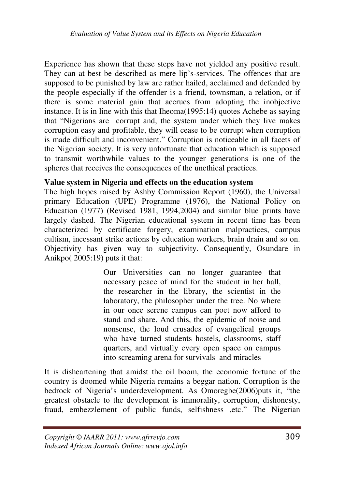Experience has shown that these steps have not yielded any positive result. They can at best be described as mere lip's-services. The offences that are supposed to be punished by law are rather hailed, acclaimed and defended by the people especially if the offender is a friend, townsman, a relation, or if there is some material gain that accrues from adopting the inobjective instance. It is in line with this that Iheoma(1995:14) quotes Achebe as saying that "Nigerians are corrupt and, the system under which they live makes corruption easy and profitable, they will cease to be corrupt when corruption is made difficult and inconvenient." Corruption is noticeable in all facets of the Nigerian society. It is very unfortunate that education which is supposed to transmit worthwhile values to the younger generations is one of the spheres that receives the consequences of the unethical practices.

## **Value system in Nigeria and effects on the education system**

The high hopes raised by Ashby Commission Report (1960), the Universal primary Education (UPE) Programme (1976), the National Policy on Education (1977) (Revised 1981, 1994,2004) and similar blue prints have largely dashed. The Nigerian educational system in recent time has been characterized by certificate forgery, examination malpractices, campus cultism, incessant strike actions by education workers, brain drain and so on. Objectivity has given way to subjectivity. Consequently, Osundare in Anikpo( 2005:19) puts it that:

> Our Universities can no longer guarantee that necessary peace of mind for the student in her hall, the researcher in the library, the scientist in the laboratory, the philosopher under the tree. No where in our once serene campus can poet now afford to stand and share. And this, the epidemic of noise and nonsense, the loud crusades of evangelical groups who have turned students hostels, classrooms, staff quarters, and virtually every open space on campus into screaming arena for survivals and miracles

It is disheartening that amidst the oil boom, the economic fortune of the country is doomed while Nigeria remains a beggar nation. Corruption is the bedrock of Nigeria's underdevelopment. As Omoregbe(2006)puts it, "the greatest obstacle to the development is immorality, corruption, dishonesty, fraud, embezzlement of public funds, selfishness ,etc." The Nigerian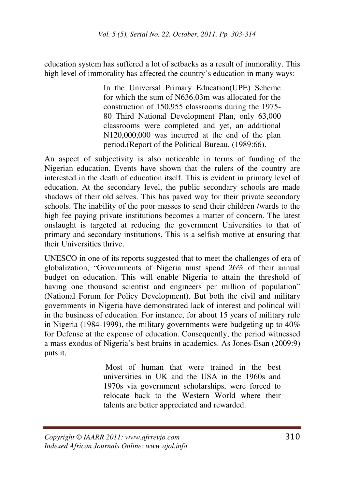education system has suffered a lot of setbacks as a result of immorality. This high level of immorality has affected the country's education in many ways:

> In the Universal Primary Education(UPE) Scheme for which the sum of N636.03m was allocated for the construction of 150,955 classrooms during the 1975- 80 Third National Development Plan, only 63,000 classrooms were completed and yet, an additional N120,000,000 was incurred at the end of the plan period.(Report of the Political Bureau, (1989:66).

An aspect of subjectivity is also noticeable in terms of funding of the Nigerian education. Events have shown that the rulers of the country are interested in the death of education itself. This is evident in primary level of education. At the secondary level, the public secondary schools are made shadows of their old selves. This has paved way for their private secondary schools. The inability of the poor masses to send their children /wards to the high fee paying private institutions becomes a matter of concern. The latest onslaught is targeted at reducing the government Universities to that of primary and secondary institutions. This is a selfish motive at ensuring that their Universities thrive.

UNESCO in one of its reports suggested that to meet the challenges of era of globalization, "Governments of Nigeria must spend 26% of their annual budget on education. This will enable Nigeria to attain the threshold of having one thousand scientist and engineers per million of population" (National Forum for Policy Development). But both the civil and military governments in Nigeria have demonstrated lack of interest and political will in the business of education. For instance, for about 15 years of military rule in Nigeria (1984-1999), the military governments were budgeting up to 40% for Defense at the expense of education. Consequently, the period witnessed a mass exodus of Nigeria's best brains in academics. As Jones-Esan (2009:9) puts it,

> Most of human that were trained in the best universities in UK and the USA in the 1960s and 1970s via government scholarships, were forced to relocate back to the Western World where their talents are better appreciated and rewarded.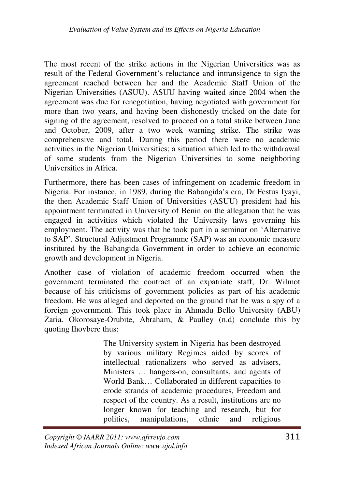The most recent of the strike actions in the Nigerian Universities was as result of the Federal Government's reluctance and intransigence to sign the agreement reached between her and the Academic Staff Union of the Nigerian Universities (ASUU). ASUU having waited since 2004 when the agreement was due for renegotiation, having negotiated with government for more than two years, and having been dishonestly tricked on the date for signing of the agreement, resolved to proceed on a total strike between June and October, 2009, after a two week warning strike. The strike was comprehensive and total. During this period there were no academic activities in the Nigerian Universities; a situation which led to the withdrawal of some students from the Nigerian Universities to some neighboring Universities in Africa.

Furthermore, there has been cases of infringement on academic freedom in Nigeria. For instance, in 1989, during the Babangida's era, Dr Festus Iyayi, the then Academic Staff Union of Universities (ASUU) president had his appointment terminated in University of Benin on the allegation that he was engaged in activities which violated the University laws governing his employment. The activity was that he took part in a seminar on 'Alternative to SAP'. Structural Adjustment Programme (SAP) was an economic measure instituted by the Babangida Government in order to achieve an economic growth and development in Nigeria.

Another case of violation of academic freedom occurred when the government terminated the contract of an expatriate staff, Dr. Wilmot because of his criticisms of government policies as part of his academic freedom. He was alleged and deported on the ground that he was a spy of a foreign government. This took place in Ahmadu Bello University (ABU) Zaria. Okorosaye-Orubite, Abraham, & Paulley (n.d) conclude this by quoting Ihovbere thus:

> The University system in Nigeria has been destroyed by various military Regimes aided by scores of intellectual rationalizers who served as advisers, Ministers … hangers-on, consultants, and agents of World Bank… Collaborated in different capacities to erode strands of academic procedures, Freedom and respect of the country. As a result, institutions are no longer known for teaching and research, but for politics, manipulations, ethnic and religious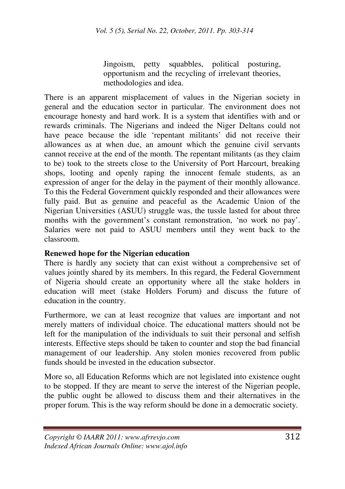Jingoism, petty squabbles, political posturing, opportunism and the recycling of irrelevant theories, methodologies and idea.

There is an apparent misplacement of values in the Nigerian society in general and the education sector in particular. The environment does not encourage honesty and hard work. It is a system that identifies with and or rewards criminals. The Nigerians and indeed the Niger Deltans could not have peace because the idle 'repentant militants' did not receive their allowances as at when due, an amount which the genuine civil servants cannot receive at the end of the month. The repentant militants (as they claim to be) took to the streets close to the University of Port Harcourt, breaking shops, looting and openly raping the innocent female students, as an expression of anger for the delay in the payment of their monthly allowance. To this the Federal Government quickly responded and their allowances were fully paid. But as genuine and peaceful as the Academic Union of the Nigerian Universities (ASUU) struggle was, the tussle lasted for about three months with the government's constant remonstration, 'no work no pay'. Salaries were not paid to ASUU members until they went back to the classroom.

#### **Renewed hope for the Nigerian education**

There is hardly any society that can exist without a comprehensive set of values jointly shared by its members. In this regard, the Federal Government of Nigeria should create an opportunity where all the stake holders in education will meet (stake Holders Forum) and discuss the future of education in the country.

Furthermore, we can at least recognize that values are important and not merely matters of individual choice. The educational matters should not be left for the manipulation of the individuals to suit their personal and selfish interests. Effective steps should be taken to counter and stop the bad financial management of our leadership. Any stolen monies recovered from public funds should be invested in the education subsector.

More so, all Education Reforms which are not legislated into existence ought to be stopped. If they are meant to serve the interest of the Nigerian people, the public ought be allowed to discuss them and their alternatives in the proper forum. This is the way reform should be done in a democratic society.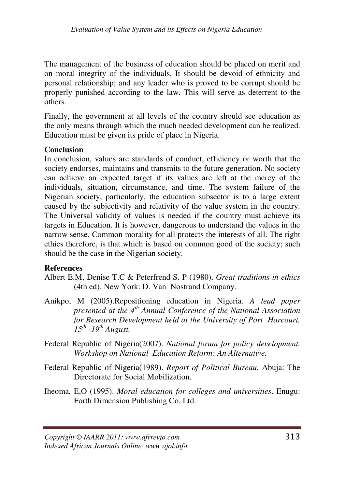The management of the business of education should be placed on merit and on moral integrity of the individuals. It should be devoid of ethnicity and personal relationship; and any leader who is proved to be corrupt should be properly punished according to the law. This will serve as deterrent to the others.

Finally, the government at all levels of the country should see education as the only means through which the much needed development can be realized. Education must be given its pride of place in Nigeria.

# **Conclusion**

In conclusion, values are standards of conduct, efficiency or worth that the society endorses, maintains and transmits to the future generation. No society can achieve an expected target if its values are left at the mercy of the individuals, situation, circumstance, and time. The system failure of the Nigerian society, particularly, the education subsector is to a large extent caused by the subjectivity and relativity of the value system in the country. The Universal validity of values is needed if the country must achieve its targets in Education. It is however, dangerous to understand the values in the narrow sense. Common morality for all protects the interests of all. The right ethics therefore, is that which is based on common good of the society; such should be the case in the Nigerian society.

#### **References**

- Albert E.M, Denise T.C & Peterfrend S. P (1980). *Great traditions in ethics* (4th ed). New York: D. Van Nostrand Company.
- Anikpo, M (2005).Repositioning education in Nigeria. *A lead paper presented at the 4th Annual Conference of the National Association for Research Development held at the University of Port Harcourt,*   $I5^{th}$  -19<sup>th</sup> August.
- Federal Republic of Nigeria(2007). *National forum for policy development. Workshop on National Education Reform: An Alternative.*
- Federal Republic of Nigeria(1989). *Report of Political Bureau*, Abuja: The Directorate for Social Mobilization.
- Iheoma, E,O (1995). *Moral education for colleges and universities*. Enugu: Forth Dimension Publishing Co. Ltd.